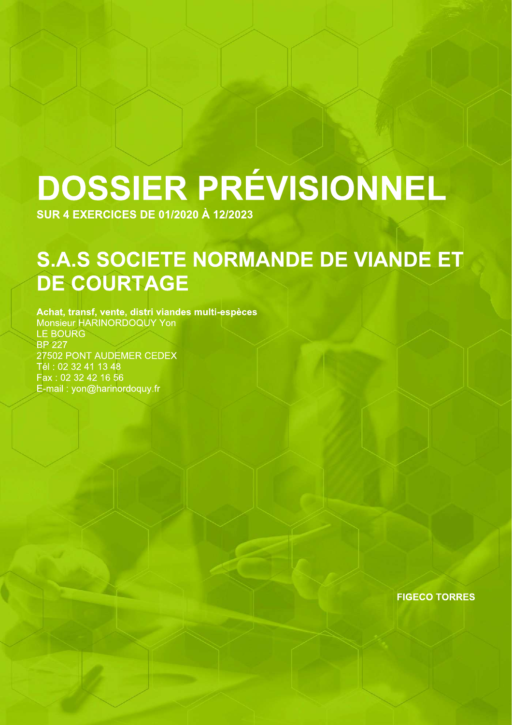# DOSSIER PRÉVISIONNEL

**SUR 4 EXERCICES DE 01/2020 À 12/2023** 

## S.A.S SOCIETE NORMANDE DE VIANDE ET **DE COURTAGE**

Achat, transf, vente, distri viandes multi-espèces Monsieur HARINORDOQUY Yon **LE BOURG BP 227** 27502 PONT AUDEMER CEDEX Tél: 02 32 41 13 48 Fax: 02 32 42 16 56 E-mail: yon@harinordoquy.fr

**FIGECO TORRES**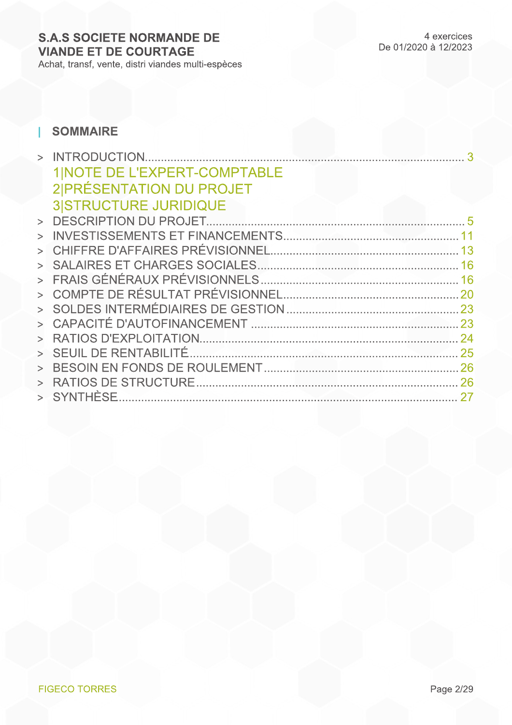#### **SOMMAIRE** T

|        | <b>1 NOTE DE L'EXPERT-COMPTABLE</b> |    |
|--------|-------------------------------------|----|
|        | 2 PRÉSENTATION DU PROJET            |    |
|        | <b>3 STRUCTURE JURIDIQUE</b>        |    |
|        |                                     |    |
| $\geq$ |                                     |    |
|        |                                     |    |
|        |                                     |    |
|        |                                     |    |
|        |                                     |    |
|        |                                     |    |
|        |                                     |    |
|        |                                     |    |
|        |                                     |    |
|        |                                     |    |
|        |                                     | 26 |
|        | > SYNTHESE                          |    |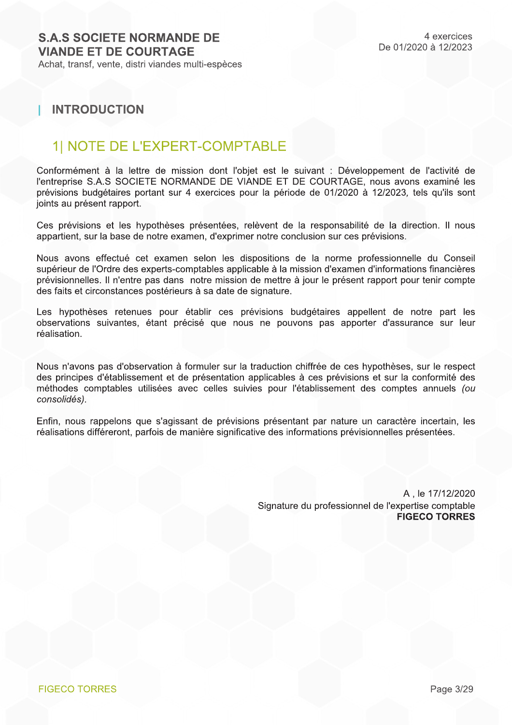## **INTRODUCTION**

## **1| NOTE DE L'EXPERT-COMPTABLE**

Conformément à la lettre de mission dont l'objet est le suivant : Développement de l'activité de l'entreprise S.A.S SOCIETE NORMANDE DE VIANDE ET DE COURTAGE, nous avons examiné les prévisions budgétaires portant sur 4 exercices pour la période de 01/2020 à 12/2023, tels qu'ils sont joints au présent rapport.

Ces prévisions et les hypothèses présentées, relèvent de la responsabilité de la direction. Il nous appartient, sur la base de notre examen, d'exprimer notre conclusion sur ces prévisions.

Nous avons effectué cet examen selon les dispositions de la norme professionnelle du Conseil supérieur de l'Ordre des experts-comptables applicable à la mission d'examen d'informations financières prévisionnelles. Il n'entre pas dans notre mission de mettre à jour le présent rapport pour tenir compte des faits et circonstances postérieurs à sa date de signature.

Les hypothèses retenues pour établir ces prévisions budgétaires appellent de notre part les observations suivantes, étant précisé que nous ne pouvons pas apporter d'assurance sur leur réalisation.

Nous n'avons pas d'observation à formuler sur la traduction chiffrée de ces hypothèses, sur le respect des principes d'établissement et de présentation applicables à ces prévisions et sur la conformité des méthodes comptables utilisées avec celles suivies pour l'établissement des comptes annuels (ou consolidés).

Enfin, nous rappelons que s'agissant de prévisions présentant par nature un caractère incertain, les réalisations différeront, parfois de manière significative des informations prévisionnelles présentées.

> A, le 17/12/2020 Signature du professionnel de l'expertise comptable **FIGECO TORRES**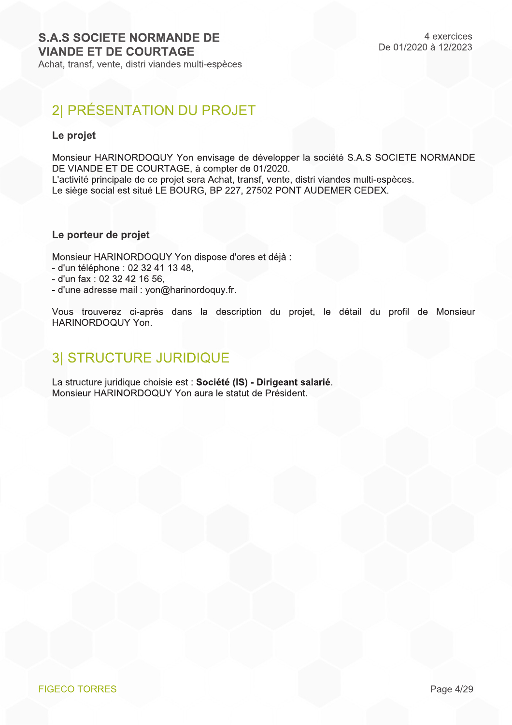## 2| PRÉSENTATION DU PROJET

### Le projet

Monsieur HARINORDOQUY Yon envisage de développer la société S.A.S SOCIETE NORMANDE DE VIANDE ET DE COURTAGE, à compter de 01/2020.

L'activité principale de ce projet sera Achat, transf, vente, distri viandes multi-espèces. Le siège social est situé LE BOURG, BP 227, 27502 PONT AUDEMER CEDEX.

#### Le porteur de projet

Monsieur HARINORDOQUY Yon dispose d'ores et déjà :

- d'un téléphone : 02 32 41 13 48.
- d'un fax : 02 32 42 16 56,
- d'une adresse mail : yon@harinordoquy.fr.

Vous trouverez ci-après dans la description du projet, le détail du profil de Monsieur HARINORDOQUY Yon.

## **3| STRUCTURE JURIDIQUE**

La structure juridique choisie est : Société (IS) - Dirigeant salarié. Monsieur HARINORDOQUY Yon aura le statut de Président.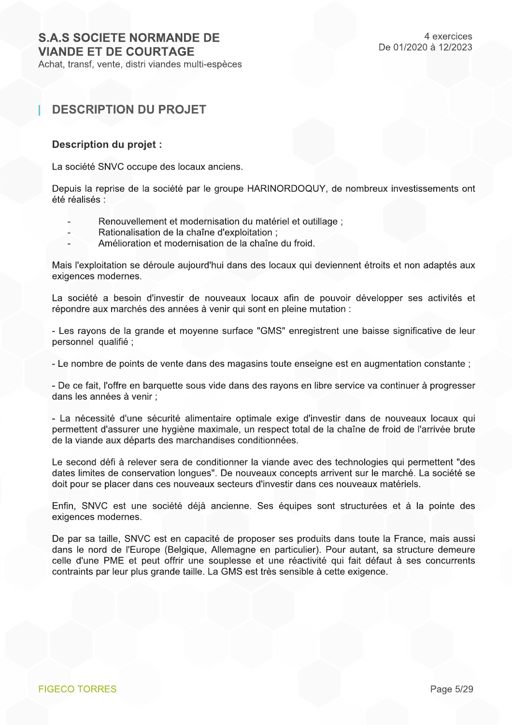Achat, transf, vente, distri viandes multi-espèces

## **DESCRIPTION DU PROJET**

#### Description du projet :

La société SNVC occupe des locaux anciens.

Depuis la reprise de la société par le groupe HARINORDOQUY, de nombreux investissements ont été réalisés :

- Renouvellement et modernisation du matériel et outillage ;
- Rationalisation de la chaîne d'exploitation ;
- Amélioration et modernisation de la chaîne du froid.

Mais l'exploitation se déroule aujourd'hui dans des locaux qui deviennent étroits et non adaptés aux exigences modernes.

La société a besoin d'investir de nouveaux locaux afin de pouvoir développer ses activités et répondre aux marchés des années à venir qui sont en pleine mutation :

- Les rayons de la grande et moyenne surface "GMS" enregistrent une baisse significative de leur personnel qualifié :

- Le nombre de points de vente dans des magasins toute enseigne est en augmentation constante :

- De ce fait, l'offre en barquette sous vide dans des rayons en libre service va continuer à progresser dans les années à venir :

- La nécessité d'une sécurité alimentaire optimale exige d'investir dans de nouveaux locaux qui permettent d'assurer une hygiène maximale, un respect total de la chaîne de froid de l'arrivée brute de la viande aux départs des marchandises conditionnées.

Le second défi à relever sera de conditionner la viande avec des technologies qui permettent "des dates limites de conservation longues". De nouveaux concepts arrivent sur le marché. La société se doit pour se placer dans ces nouveaux secteurs d'investir dans ces nouveaux matériels.

Enfin, SNVC est une société déjà ancienne. Ses équipes sont structurées et à la pointe des exigences modernes.

De par sa taille. SNVC est en capacité de proposer ses produits dans toute la France, mais aussi dans le nord de l'Europe (Belgique, Allemagne en particulier). Pour autant, sa structure demeure celle d'une PME et peut offrir une souplesse et une réactivité qui fait défaut à ses concurrents contraints par leur plus grande taille. La GMS est très sensible à cette exigence.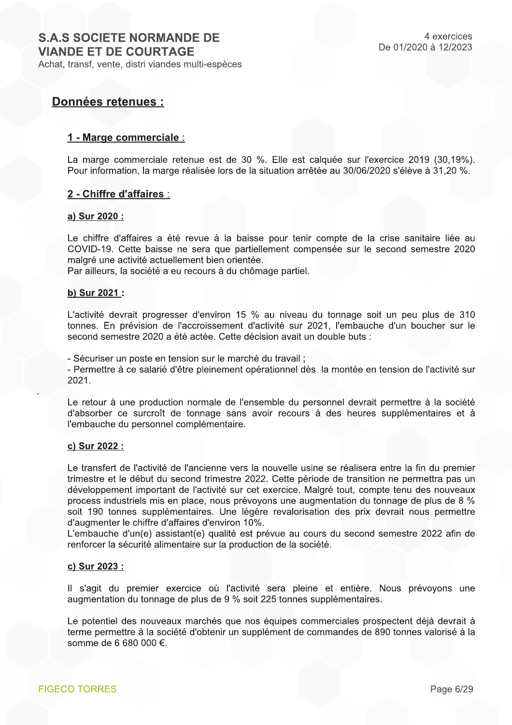## **Données retenues:**

#### 1 - Marge commerciale :

La marge commerciale retenue est de 30 %. Elle est calquée sur l'exercice 2019 (30.19%). Pour information, la marge réalisée lors de la situation arrêtée au 30/06/2020 s'élève à 31,20 %.

#### 2 - Chiffre d'affaires :

#### a) Sur 2020 :

Le chiffre d'affaires a été revue à la baisse pour tenir compte de la crise sanitaire liée au COVID-19. Cette baisse ne sera que partiellement compensée sur le second semestre 2020 malgré une activité actuellement bien orientée.

Par ailleurs, la société a eu recours à du chômage partiel.

#### b) Sur 2021 :

L'activité devrait progresser d'environ 15 % au niveau du tonnage soit un peu plus de 310 tonnes. En prévision de l'accroissement d'activité sur 2021, l'embauche d'un boucher sur le second semestre 2020 a été actée. Cette décision avait un double buts :

- Sécuriser un poste en tension sur le marché du travail;

- Permettre à ce salarié d'être pleinement opérationnel dès la montée en tension de l'activité sur 2021.

Le retour à une production normale de l'ensemble du personnel devrait permettre à la société d'absorber ce surcroît de tonnage sans avoir recours à des heures supplémentaires et à l'embauche du personnel complémentaire.

#### c) Sur 2022 :

Le transfert de l'activité de l'ancienne vers la nouvelle usine se réalisera entre la fin du premier trimestre et le début du second trimestre 2022. Cette période de transition ne permettra pas un développement important de l'activité sur cet exercice. Malgré tout, compte tenu des nouveaux process industriels mis en place, nous prévoyons une augmentation du tonnage de plus de 8 % soit 190 tonnes supplémentaires. Une légère revalorisation des prix devrait nous permettre d'augmenter le chiffre d'affaires d'environ 10%.

L'embauche d'un(e) assistant(e) qualité est prévue au cours du second semestre 2022 afin de renforcer la sécurité alimentaire sur la production de la société.

#### c) Sur 2023 :

Il s'agit du premier exercice où l'activité sera pleine et entière. Nous prévoyons une augmentation du tonnage de plus de 9 % soit 225 tonnes supplémentaires.

Le potentiel des nouveaux marchés que nos équipes commerciales prospectent déjà devrait à terme permettre à la société d'obtenir un supplément de commandes de 890 tonnes valorisé à la somme de 6 680 000 €.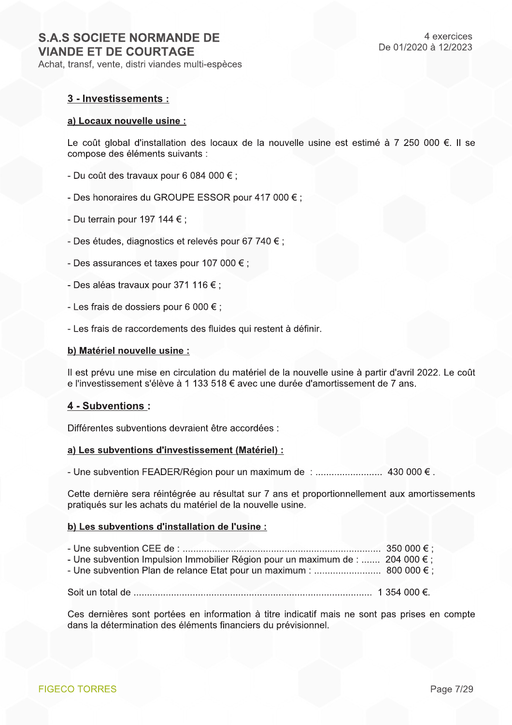#### 3 - Investissements :

#### a) Locaux nouvelle usine :

Le coût global d'installation des locaux de la nouvelle usine est estimé à 7 250 000 €. Il se compose des éléments suivants :

- Du coût des travaux pour 6 084 000  $\epsilon$ ;
- Des honoraires du GROUPE ESSOR pour 417 000 € ;
- Du terrain pour 197 144  $\epsilon$ ;
- Des études, diagnostics et relevés pour 67 740 € :
- Des assurances et taxes pour 107 000  $\epsilon$ ;
- Des aléas travaux pour 371 116  $\epsilon$ ;
- Les frais de dossiers pour 6 000  $\epsilon$ :
- Les frais de raccordements des fluides qui restent à définir.

#### b) Matériel nouvelle usine :

Il est prévu une mise en circulation du matériel de la nouvelle usine à partir d'avril 2022. Le coût e l'investissement s'élève à 1 133 518 € avec une durée d'amortissement de 7 ans.

#### 4 - Subventions :

Différentes subventions devraient être accordées :

#### a) Les subventions d'investissement (Matériel) :

Cette dernière sera réintégrée au résultat sur 7 ans et proportionnellement aux amortissements pratiqués sur les achats du matériel de la nouvelle usine.

#### b) Les subventions d'installation de l'usine :

| - Une subvention Impulsion Immobilier Région pour un maximum de :  204 000 $\epsilon$ ; |  |
|-----------------------------------------------------------------------------------------|--|
|                                                                                         |  |
|                                                                                         |  |

Ces dernières sont portées en information à titre indicatif mais ne sont pas prises en compte dans la détermination des éléments financiers du prévisionnel.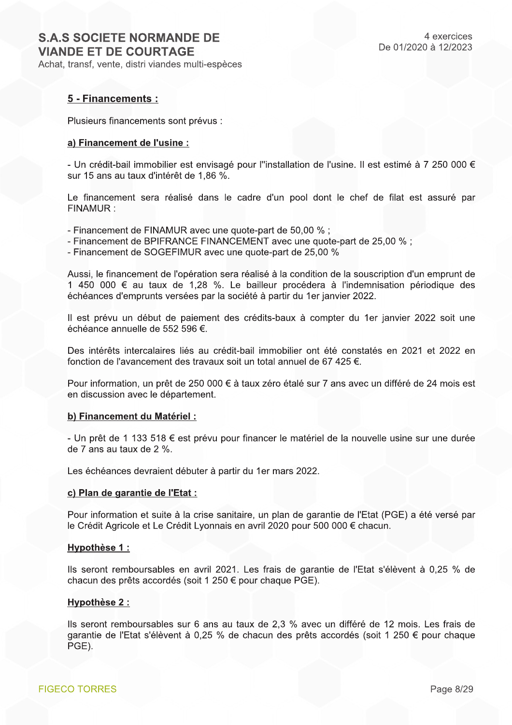#### 5 - Financements :

Plusieurs financements sont prévus :

#### a) Financement de l'usine :

- Un crédit-bail immobilier est envisagé pour l"installation de l'usine. Il est estimé à 7 250 000 € sur 15 ans au taux d'intérêt de 1,86 %.

Le financement sera réalisé dans le cadre d'un pool dont le chef de filat est assuré par FINAMUR:

- Financement de FINAMUR avec une quote-part de 50,00 %;
- Financement de BPIFRANCE FINANCEMENT avec une quote-part de 25.00 % :
- Financement de SOGEFIMUR avec une quote-part de 25,00 %

Aussi, le financement de l'opération sera réalisé à la condition de la souscription d'un emprunt de 1 450 000 € au taux de 1,28 %. Le bailleur procédera à l'indemnisation périodique des échéances d'emprunts versées par la société à partir du 1er janvier 2022.

Il est prévu un début de paiement des crédits-baux à compter du 1er janvier 2022 soit une échéance annuelle de 552 596 €.

Des intérêts intercalaires liés au crédit-bail immobilier ont été constatés en 2021 et 2022 en fonction de l'avancement des travaux soit un total annuel de 67 425 €.

Pour information, un prêt de 250 000 € à taux zéro étalé sur 7 ans avec un différé de 24 mois est en discussion avec le département.

#### b) Financement du Matériel :

- Un prêt de 1 133 518 € est prévu pour financer le matériel de la nouvelle usine sur une durée de 7 ans au taux de 2 %.

Les échéances devraient débuter à partir du 1er mars 2022.

#### c) Plan de garantie de l'Etat :

Pour information et suite à la crise sanitaire, un plan de garantie de l'Etat (PGE) a été versé par le Crédit Agricole et Le Crédit Lyonnais en avril 2020 pour 500 000 € chacun.

#### Hypothèse 1 :

Ils seront remboursables en avril 2021. Les frais de garantie de l'Etat s'élèvent à 0,25 % de chacun des prêts accordés (soit 1 250 € pour chaque PGE).

#### **Hypothèse 2:**

Ils seront remboursables sur 6 ans au taux de 2,3 % avec un différé de 12 mois. Les frais de garantie de l'Etat s'élèvent à 0,25 % de chacun des prêts accordés (soit 1 250 € pour chaque PGE).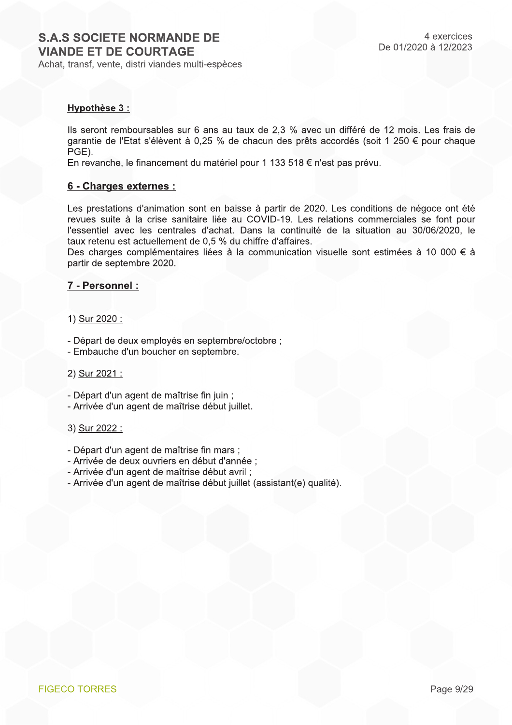#### Hypothèse 3 :

Ils seront remboursables sur 6 ans au taux de 2.3 % avec un différé de 12 mois. Les frais de garantie de l'Etat s'élèvent à 0,25 % de chacun des prêts accordés (soit 1 250 € pour chaque PGE).

En revanche, le financement du matériel pour 1 133 518 € n'est pas prévu.

#### 6 - Charges externes :

Les prestations d'animation sont en baisse à partir de 2020. Les conditions de négoce ont été revues suite à la crise sanitaire liée au COVID-19. Les relations commerciales se font pour l'essentiel avec les centrales d'achat. Dans la continuité de la situation au 30/06/2020, le taux retenu est actuellement de 0.5 % du chiffre d'affaires.

Des charges complémentaires liées à la communication visuelle sont estimées à 10 000 € à partir de septembre 2020.

#### 7 - Personnel :

#### 1) Sur 2020 :

- Départ de deux employés en septembre/octobre ;
- Embauche d'un boucher en septembre.

#### 2) Sur 2021 :

- Départ d'un agent de maîtrise fin juin ;
- Arrivée d'un agent de maîtrise début juillet.

#### 3) Sur 2022 :

- Départ d'un agent de maîtrise fin mars ;
- Arrivée de deux ouvriers en début d'année ;
- Arrivée d'un agent de maîtrise début avril ;
- Arrivée d'un agent de maîtrise début juillet (assistant(e) qualité).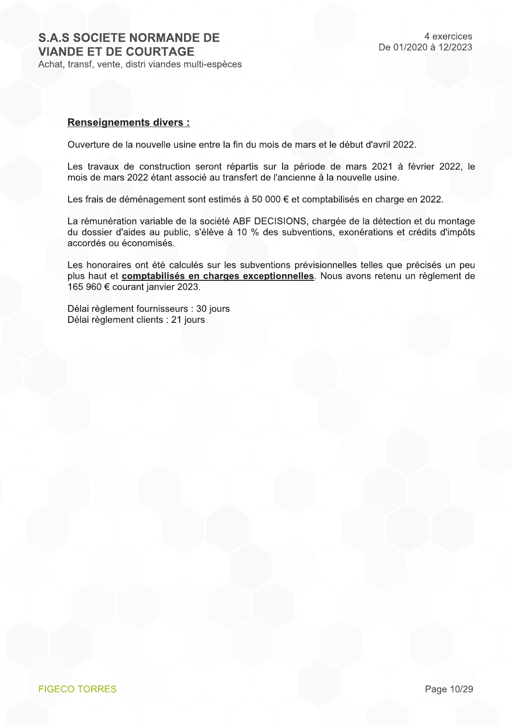#### **Renseignements divers:**

Ouverture de la nouvelle usine entre la fin du mois de mars et le début d'avril 2022.

Les travaux de construction seront répartis sur la période de mars 2021 à février 2022, le mois de mars 2022 étant associé au transfert de l'ancienne à la nouvelle usine.

Les frais de déménagement sont estimés à 50 000 € et comptabilisés en charge en 2022.

La rémunération variable de la société ABF DECISIONS, chargée de la détection et du montage du dossier d'aides au public, s'élève à 10 % des subventions, exonérations et crédits d'impôts accordés ou économisés.

Les honoraires ont été calculés sur les subventions prévisionnelles telles que précisés un peu plus haut et **comptabilisés en charges exceptionnelles**. Nous avons retenu un règlement de 165 960 € courant janvier 2023.

Délai règlement fournisseurs : 30 jours Délai règlement clients : 21 jours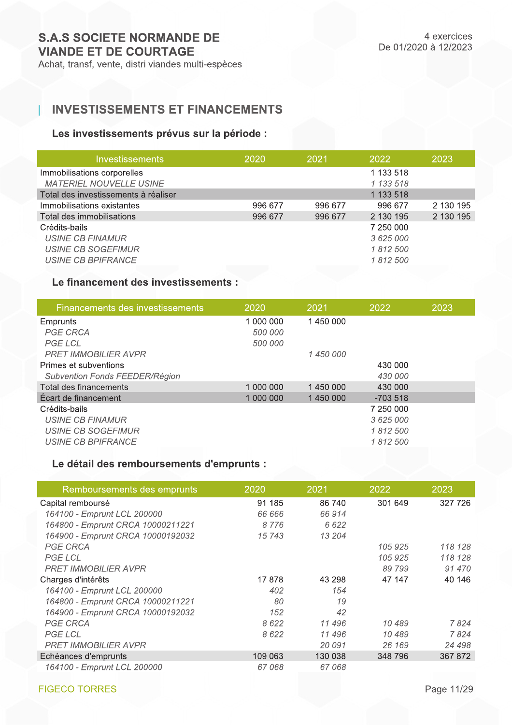## **INVESTISSEMENTS ET FINANCEMENTS**

## Les investissements prévus sur la période :

| <b>Investissements</b>               | 2020    | 2021    | 2022      | 2023      |
|--------------------------------------|---------|---------|-----------|-----------|
| Immobilisations corporelles          |         |         | 1 133 518 |           |
| <b>MATERIEL NOUVELLE USINE</b>       |         |         | 1 133 518 |           |
| Total des investissements à réaliser |         |         | 1 133 518 |           |
| Immobilisations existantes           | 996 677 | 996 677 | 996 677   | 2 130 195 |
| Total des immobilisations            | 996 677 | 996 677 | 2 130 195 | 2 130 195 |
| Crédits-bails                        |         |         | 7 250 000 |           |
| USINE CB FINAMUR                     |         |         | 3 625 000 |           |
| USINE CB SOGEFIMUR                   |         |         | 1812500   |           |
| USINE CB BPIFRANCE                   |         |         | 1812500   |           |

## Le financement des investissements :

| Financements des investissements | 2020      | 2021      | 2022      | 2023 |
|----------------------------------|-----------|-----------|-----------|------|
| Emprunts                         | 1 000 000 | 1450000   |           |      |
| <b>PGE CRCA</b>                  | 500 000   |           |           |      |
| PGE LCL                          | 500 000   |           |           |      |
| <b>PRET IMMOBILIER AVPR</b>      |           | 1 450 000 |           |      |
| Primes et subventions            |           |           | 430 000   |      |
| Subvention Fonds FEEDER/Région   |           |           | 430 000   |      |
| Total des financements           | 1 000 000 | 1450000   | 430 000   |      |
| Écart de financement             | 1 000 000 | 1450000   | $-703518$ |      |
| Crédits-bails                    |           |           | 7 250 000 |      |
| USINE CB FINAMUR                 |           |           | 3 625 000 |      |
| USINE CB SOGEFIMUR               |           |           | 1812500   |      |
| <b>USINE CB BPIFRANCE</b>        |           |           | 1812500   |      |
|                                  |           |           |           |      |

## Le détail des remboursements d'emprunts :

| Remboursements des emprunts       | 2020    | 2021    | 2022    | 2023    |
|-----------------------------------|---------|---------|---------|---------|
| Capital remboursé                 | 91 185  | 86 740  | 301 649 | 327 726 |
| 164100 - Emprunt LCL 200000       | 66 666  | 66914   |         |         |
| 164800 - Emprunt CRCA 10000211221 | 8776    | 6622    |         |         |
| 164900 - Emprunt CRCA 10000192032 | 15743   | 13 204  |         |         |
| <b>PGE CRCA</b>                   |         |         | 105 925 | 118 128 |
| <b>PGE LCL</b>                    |         |         | 105 925 | 118 128 |
| <b>PRET IMMOBILIER AVPR</b>       |         |         | 89 799  | 91 470  |
| Charges d'intérêts                | 17878   | 43 298  | 47 147  | 40 146  |
| 164100 - Emprunt LCL 200000       | 402     | 154     |         |         |
| 164800 - Emprunt CRCA 10000211221 | 80      | 19      |         |         |
| 164900 - Emprunt CRCA 10000192032 | 152     | 42      |         |         |
| <b>PGE CRCA</b>                   | 8622    | 11 496  | 10 489  | 7824    |
| <b>PGE LCL</b>                    | 8622    | 11 496  | 10 489  | 7824    |
| <b>PRET IMMOBILIER AVPR</b>       |         | 20 091  | 26 169  | 24 498  |
| Echéances d'emprunts              | 109 063 | 130 038 | 348 796 | 367 872 |
| 164100 - Emprunt LCL 200000       | 67068   | 67068   |         |         |

**FIGECO TORRES**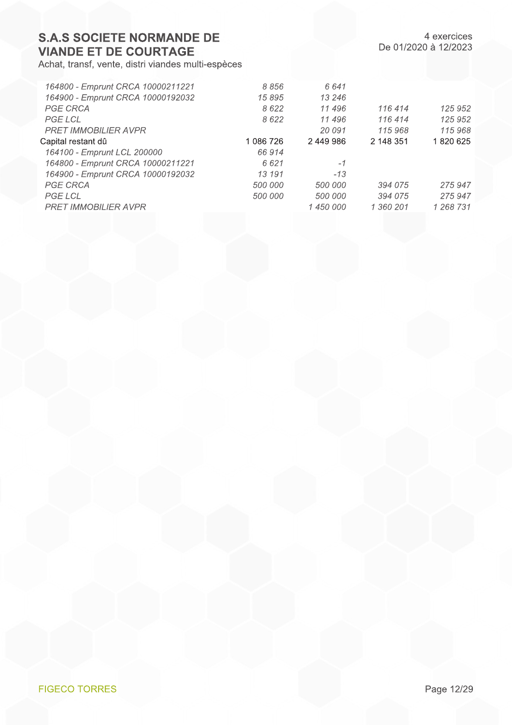Achat, transf, vente, distri viandes multi-espèces

4 exercices De 01/2020 à 12/2023

| 164800 - Emprunt CRCA 10000211221 | 8856      | 6641      |           |           |
|-----------------------------------|-----------|-----------|-----------|-----------|
| 164900 - Emprunt CRCA 10000192032 | 15895     | 13 246    |           |           |
| <b>PGE CRCA</b>                   | 8622      | 11 496    | 116 414   | 125 952   |
| <b>PGE LCL</b>                    | 8622      | 11 496    | 116 414   | 125 952   |
| <b>PRET IMMOBILIER AVPR</b>       |           | 20 091    | 115968    | 115968    |
| Capital restant dû                | 1 086 726 | 2449986   | 2 148 351 | 1820625   |
| 164100 - Emprunt LCL 200000       | 66 914    |           |           |           |
| 164800 - Emprunt CRCA 10000211221 | 6621      | $-1$      |           |           |
| 164900 - Emprunt CRCA 10000192032 | 13 191    | $-13$     |           |           |
| <b>PGE CRCA</b>                   | 500 000   | 500 000   | 394 075   | 275 947   |
| <b>PGE LCL</b>                    | 500 000   | 500 000   | 394 075   | 275 947   |
| <b>PRET IMMOBILIER AVPR</b>       |           | 1 450 000 | 1 360 201 | 1 268 731 |
|                                   |           |           |           |           |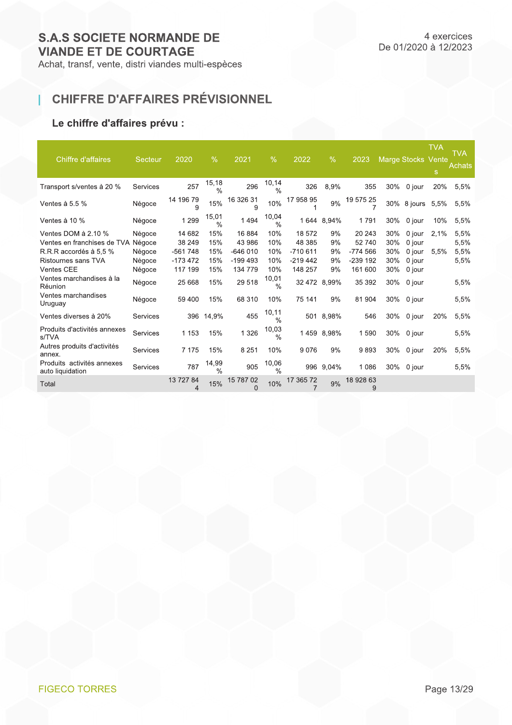## CHIFFRE D'AFFAIRES PRÉVISIONNEL

## Le chiffre d'affaires prévu :

T

| Chiffre d'affaires                             | Secteur  | 2020           | $\%$                   | 2021                  | $\frac{9}{6}$           | $\sqrt{2022}$ | $\%$       | 2023           |     | <b>Marge Stocks Vente</b> | <b>TVA</b><br>S | <b>TVA</b><br>Achats |
|------------------------------------------------|----------|----------------|------------------------|-----------------------|-------------------------|---------------|------------|----------------|-----|---------------------------|-----------------|----------------------|
| Transport s/ventes à 20 %                      | Services | 257            | 15,18<br>$\frac{0}{0}$ | 296                   | 10,14<br>$\frac{0}{0}$  | 326           | 8,9%       | 355            | 30% | 0 jour                    | 20%             | 5,5%                 |
| Ventes à 5.5 $%$                               | Négoce   | 14 196 79<br>9 | 15%                    | 16 326 31<br>9        | 10%                     | 17 958 95     | 9%         | 19 575 25      |     | 30% 8 jours               | 5,5%            | 5,5%                 |
| Ventes à 10 %                                  | Négoce   | 1 2 9 9        | 15,01<br>$\frac{0}{0}$ | 1494                  | 10,04<br>$\frac{0}{0}$  | 1 644         | 8,94%      | 1791           | 30% | 0 jour                    | 10%             | 5,5%                 |
| Ventes DOM à 2.10 %                            | Négoce   | 14 682         | 15%                    | 16 884                | 10%                     | 18 572        | 9%         | 20 24 3        | 30% | 0 jour                    | 2,1%            | 5,5%                 |
| Ventes en franchises de TVA Négoce             |          | 38 249         | 15%                    | 43 986                | 10%                     | 48 385        | 9%         | 52 740         | 30% | 0 jour                    |                 | 5,5%                 |
| R.R.R accordés à 5.5 %                         | Négoce   | $-561748$      | 15%                    | $-646010$             | 10%                     | $-710611$     | 9%         | $-774566$      | 30% | 0 jour                    | 5,5%            | 5,5%                 |
| Ristournes sans TVA                            | Négoce   | $-173472$      | 15%                    | $-199493$             | 10%                     | $-219442$     | 9%         | $-239$ 192     | 30% | 0 jour                    |                 | 5,5%                 |
| Ventes CEE                                     | Négoce   | 117 199        | 15%                    | 134 779               | 10%                     | 148 257       | 9%         | 161 600        | 30% | 0 jour                    |                 |                      |
| Ventes marchandises à la<br>Réunion            | Négoce   | 25 6 68        | 15%                    | 29 518                | 10,01<br>$\frac{0}{0}$  | 32 472        | 8.99%      | 35 392         | 30% | 0 jour                    |                 | 5,5%                 |
| Ventes marchandises<br>Uruguay                 | Négoce   | 59 400         | 15%                    | 68 310                | 10%                     | 75 141        | 9%         | 81 904         | 30% | 0 jour                    |                 | 5,5%                 |
| Ventes diverses à 20%                          | Services | 396            | 14,9%                  | 455                   | 10, 11<br>$\frac{0}{0}$ | 501           | 8,98%      | 546            | 30% | 0 jour                    | 20%             | 5,5%                 |
| Produits d'activités annexes<br>s/TVA          | Services | 1 1 5 3        | 15%                    | 1 3 2 6               | 10,03<br>$\frac{0}{0}$  |               | 1459 8,98% | 1590           | 30% | 0 jour                    |                 | 5,5%                 |
| Autres produits d'activités<br>annex.          | Services | 7 1 7 5        | 15%                    | 8 2 5 1               | 10%                     | 9076          | 9%         | 9893           | 30% | 0 jour                    | 20%             | 5,5%                 |
| Produits activités annexes<br>auto liquidation | Services | 787            | 14,99<br>$\frac{0}{0}$ | 905                   | 10,06<br>$\frac{0}{0}$  |               | 996 9,04%  | 1 0 8 6        | 30% | 0 jour                    |                 | 5,5%                 |
| Total                                          |          | 13 727 84<br>4 | 15%                    | 15 787 02<br>$\Omega$ | 10%                     | 17 365 72     | 9%         | 18 928 63<br>9 |     |                           |                 |                      |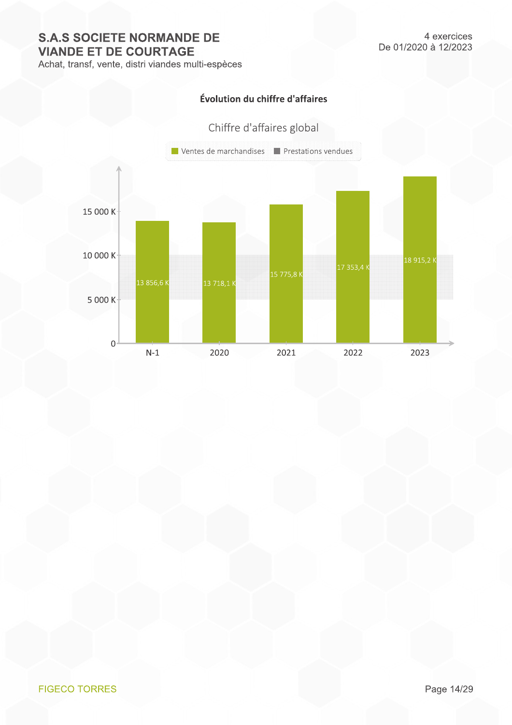Achat, transf, vente, distri viandes multi-espèces

## Évolution du chiffre d'affaires

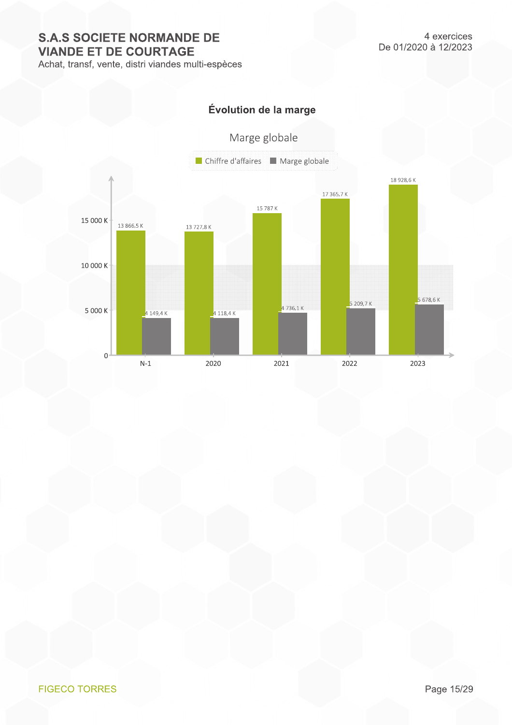Achat, transf, vente, distri viandes multi-espèces

## Évolution de la marge

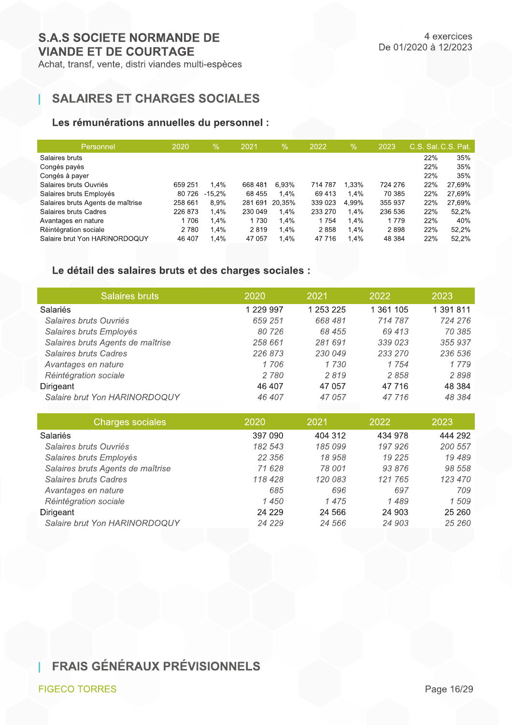## **SALAIRES ET CHARGES SOCIALES**

## Les rémunérations annuelles du personnel :

| Personnel                         | 2020    | $\%$      | 2021    | $\%$    | 2022    | $\sqrt{2}$ | 2023    | C.S. Sal. C.S. Pat. |        |
|-----------------------------------|---------|-----------|---------|---------|---------|------------|---------|---------------------|--------|
| Salaires bruts                    |         |           |         |         |         |            |         | 22%                 | 35%    |
| Congés payés                      |         |           |         |         |         |            |         | 22%                 | 35%    |
| Congés à payer                    |         |           |         |         |         |            |         | 22%                 | 35%    |
| Salaires bruts Ouvriés            | 659 251 | 1.4%      | 668 481 | 6.93%   | 714 787 | 1,33%      | 724 276 | 22%                 | 27,69% |
| Salaires bruts Employés           | 80 726  | $-15.2\%$ | 68 455  | $1.4\%$ | 69413   | 1.4%       | 70 385  | 22%                 | 27.69% |
| Salaires bruts Agents de maîtrise | 258 661 | 8.9%      | 281 691 | 20.35%  | 339 023 | 4.99%      | 355 937 | 22%                 | 27,69% |
| Salaires bruts Cadres             | 226 873 | 1.4%      | 230 049 | 1.4%    | 233 270 | 1.4%       | 236 536 | 22%                 | 52,2%  |
| Avantages en nature               | 1706    | 1,4%      | 1730    | 1,4%    | 1754    | 1.4%       | 1 7 7 9 | 22%                 | 40%    |
| Réintégration sociale             | 2780    | 1.4%      | 2819    | 1.4%    | 2858    | 1.4%       | 2898    | 22%                 | 52.2%  |
| Salaire brut Yon HARINORDOQUY     | 46 407  | 1.4%      | 47 057  | 1,4%    | 47 716  | 1.4%       | 48 384  | 22%                 | 52.2%  |
|                                   |         |           |         |         |         |            |         |                     |        |

## Le détail des salaires bruts et des charges sociales :

| <b>Salaires bruts</b>             | 2020      | 2021      | 2022      | 2023      |
|-----------------------------------|-----------|-----------|-----------|-----------|
| <b>Salariés</b>                   | 1 229 997 | 1 253 225 | 1 361 105 | 1 391 811 |
| Salaires bruts Ouvriés            | 659 251   | 668481    | 714 787   | 724 276   |
| Salaires bruts Employés           | 80 726    | 68 455    | 69 413    | 70 385    |
| Salaires bruts Agents de maîtrise | 258 661   | 281 691   | 339 023   | 355937    |
| Salaires bruts Cadres             | 226 873   | 230 049   | 233 270   | 236 536   |
| Avantages en nature               | 1706      | 1730      | 1 7 5 4   | 1 7 7 9   |
| Réintégration sociale             | 2780      | 2819      | 2858      | 2898      |
| Dirigeant                         | 46 407    | 47 057    | 47 716    | 48 384    |
| Salaire brut Yon HARINORDOQUY     | 46 407    | 47 057    | 47 716    | 48 384    |
|                                   |           |           |           |           |

| Charges sociales                  | 2020     | 2021    | 2022     | 2023    |
|-----------------------------------|----------|---------|----------|---------|
| Salariés                          | 397 090  | 404 312 | 434 978  | 444 292 |
| Salaires bruts Ouvriés            | 182 543  | 185 099 | 197 926  | 200 557 |
| Salaires bruts Employés           | 22 356   | 18958   | 19 2 2 5 | 19489   |
| Salaires bruts Agents de maîtrise | 71 628   | 78 001  | 93 876   | 98 558  |
| Salaires bruts Cadres             | 118428   | 120 083 | 121 765  | 123 470 |
| Avantages en nature               | 685      | 696     | 697      | 709     |
| Réintégration sociale             | 1450     | 1475    | 1489     | 1509    |
| Dirigeant                         | 24 2 2 9 | 24 5 66 | 24 903   | 25 260  |
| Salaire brut Yon HARINORDOQUY     | 24 2 2 9 | 24 566  | 24 903   | 25 260  |

## **I FRAIS GÉNÉRAUX PRÉVISIONNELS**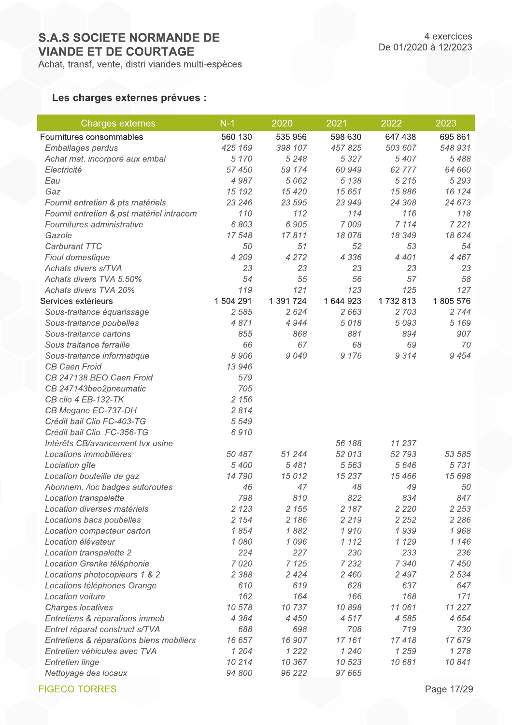## Les charges externes prévues :

| Charges externes                          | $N-1$     | 2020      | 2021      | 2022    | 2023     |
|-------------------------------------------|-----------|-----------|-----------|---------|----------|
| Fournitures consommables                  | 560 130   | 535 956   | 598 630   | 647 438 | 695 861  |
| Emballages perdus                         | 425 169   | 398 107   | 457 825   | 503 607 | 548 931  |
| Achat mat. incorporé aux embal            | 5 1 7 0   | 5 2 4 8   | 5 3 2 7   | 5 4 0 7 | 5488     |
| Electricité                               | 57 450    | 59 174    | 60 949    | 62 777  | 64 660   |
| Eau                                       | 4987      | 5 0 6 2   | 5 1 3 8   | 5 2 1 5 | 5 2 9 3  |
| Gaz                                       | 15 192    | 15 4 20   | 15 651    | 15 886  | 16 124   |
| Fournit entretien & pts matériels         | 23 246    | 23 595    | 23 949    | 24 308  | 24 673   |
| Fournit entretien & pst matériel intracom | 110       | 112       | 114       | 116     | 118      |
| Fournitures administrative                | 6 803     | 6 9 0 5   | 7 0 0 9   | 7 1 1 4 | 7 2 2 1  |
| Gazole                                    | 17 548    | 17811     | 18 078    | 18 349  | 18 624   |
| Carburant TTC                             | 50        | 51        | 52        | 53      | 54       |
| Fioul domestique                          | 4 209     | 4 2 7 2   | 4 3 3 6   | 4 4 0 1 | 4 4 6 7  |
| Achats divers s/TVA                       | 23        | 23        | 23        | 23      | 23       |
| Achats divers TVA 5.50%                   | 54        | 55        | 56        | 57      | 58       |
| Achats divers TVA 20%                     | 119       | 121       | 123       | 125     | 127      |
| Services extérieurs                       | 1 504 291 | 1 391 724 | 1 644 923 | 1732813 | 1805 576 |
| Sous-traitance équarissage                | 2 5 8 5   | 2 6 2 4   | 2 6 6 3   | 2 7 0 3 | 2 7 4 4  |
| Sous-traitance poubelles                  | 4871      | 4 9 4 4   | 5018      | 5 0 9 3 | 5 1 6 9  |
| Sous-traitance cartons                    | 855       | 868       | 881       | 894     | 907      |
| Sous traitance ferraille                  | 66        | 67        | 68        | 69      | 70       |
| Sous-traitance informatique               | 8 9 0 6   | 9040      | 9 1 7 6   | 9314    | 9 4 5 4  |
| <b>CB Caen Froid</b>                      | 13 946    |           |           |         |          |
| CB 247138 BEO Caen Froid                  | 579       |           |           |         |          |
| CB 247143beo2pneumatic                    | 705       |           |           |         |          |
| CB clio 4 EB-132-TK                       | 2 1 5 6   |           |           |         |          |
| CB Megane EC-737-DH                       | 2814      |           |           |         |          |
| Crédit bail Clio FC-403-TG                | 5 5 4 9   |           |           |         |          |
| Crédit bail Clio FC-356-TG                | 6910      |           |           |         |          |
| Intérêts CB/avancement tvx usine          |           |           | 56 188    | 11 237  |          |
| Locations immobilières                    | 50 487    | 51 244    | 52 013    | 52 793  | 53 585   |
| Lociation gîte                            | 5 400     | 5481      | 5 5 6 3   | 5 6 4 6 | 5731     |
| Location bouteille de gaz                 | 14790     | 15012     | 15 237    | 15 466  | 15 698   |
| Abonnem. /loc badges autoroutes           | 46        | 47        | 48        | 49      | 50       |
| Location transpalette                     | 798       | 810       | 822       | 834     | 847      |
| Location diverses matériels               | 2 1 2 3   | 2 1 5 5   | 2 1 8 7   | 2 2 2 0 | 2 2 5 3  |
| Locations bacs poubelles                  | 2 1 5 4   | 2 1 8 6   | 2 2 1 9   | 2 2 5 2 | 2 2 8 6  |
| Location compacteur carton                | 1854      | 1882      | 1910      | 1939    | 1968     |
| Location élévateur                        | 1080      | 1096      | 1 1 1 2   | 1 1 2 9 | 1 1 4 6  |
| Location transpalette 2                   | 224       | 227       | 230       | 233     | 236      |
| Location Grenke téléphonie                | 7 0 2 0   | 7 1 2 5   | 7 2 3 2   | 7 3 4 0 | 7 4 5 0  |
| Locations photocopieurs 1 & 2             | 2 3 8 8   | 2 4 2 4   | 2 4 6 0   | 2 4 9 7 | 2 5 3 4  |
| Locations téléphones Orange               | 610       | 619       | 628       | 637     | 647      |
| Location voiture                          | 162       | 164       | 166       | 168     | 171      |
| Charges locatives                         | 10 578    | 10737     | 10898     | 11 061  | 11 227   |
| Entretiens & réparations immob            | 4 3 8 4   | 4 4 5 0   | 4517      | 4 5 8 5 | 4 6 5 4  |
| Entret réparat construct s/TVA            | 688       | 698       | 708       | 719     | 730      |
| Entretiens & réparations biens mobiliers  | 16 657    | 16 907    | 17 161    | 17418   | 17679    |
| Entretien véhicules avec TVA              | 1 204     | 1 2 2 2   | 1 2 4 0   | 1 2 5 9 | 1 278    |
| <b>Entretien linge</b>                    | 10 214    | 10 367    | 10 523    | 10 681  | 10841    |
| Nettoyage des locaux                      | 94 800    | 96 222    | 97 665    |         |          |

**FIGECO TORRES**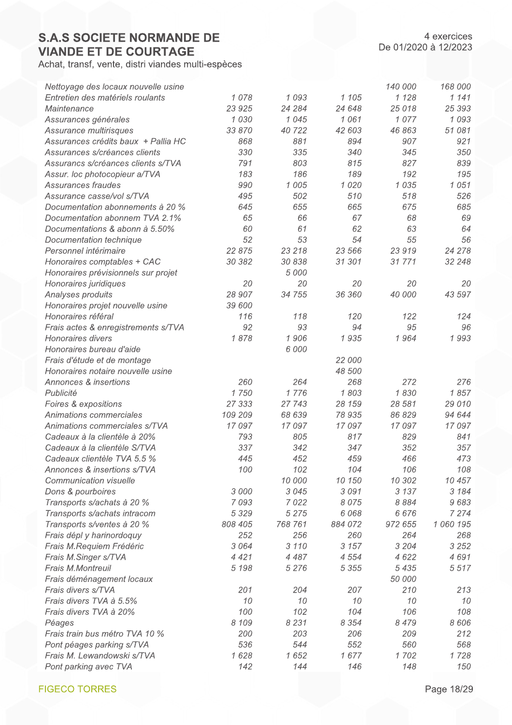Achat, transf, vente, distri viandes multi-espèces

| Nettoyage des locaux nouvelle usine |         |         |         | 140 000 | 168 000   |
|-------------------------------------|---------|---------|---------|---------|-----------|
| Entretien des matériels roulants    | 1078    | 1093    | 1 105   | 1 1 2 8 | 1 1 4 1   |
| Maintenance                         | 23 9 25 | 24 284  | 24 648  | 25 018  | 25 393    |
| Assurances générales                | 1 0 3 0 | 1045    | 1061    | 1077    | 1 0 9 3   |
| Assurance multirisques              | 33 870  | 40722   | 42 603  | 46 863  | 51 081    |
| Assurances crédits baux + Pallia HC | 868     | 881     | 894     | 907     | 921       |
| Assurances s/créances clients       | 330     | 335     | 340     | 345     | 350       |
| Assurancs s/créances clients s/TVA  | 791     | 803     | 815     | 827     | 839       |
| Assur. loc photocopieur a/TVA       | 183     | 186     | 189     | 192     | 195       |
| Assurances fraudes                  | 990     | 1 0 0 5 | 1 0 2 0 | 1 0 3 5 | 1051      |
| Assurance casse/vol s/TVA           | 495     | 502     | 510     | 518     | 526       |
| Documentation abonnements à 20 %    | 645     | 655     | 665     | 675     | 685       |
| Documentation abonnem TVA 2.1%      | 65      | 66      | 67      | 68      | 69        |
| Documentations & abonn à 5.50%      | 60      | 61      | 62      | 63      | 64        |
| Documentation technique             | 52      | 53      | 54      | 55      | 56        |
| Personnel intérimaire               | 22 875  | 23 218  | 23 566  | 23 919  | 24 278    |
| Honoraires comptables + CAC         | 30 382  | 30 838  | 31 301  | 31771   | 32 248    |
| Honoraires prévisionnels sur projet |         | 5 0 0 0 |         |         |           |
| Honoraires juridiques               | 20      | 20      | 20      | 20      | 20        |
| Analyses produits                   | 28 907  | 34 755  | 36 360  | 40 000  | 43 597    |
| Honoraires projet nouvelle usine    | 39 600  |         |         |         |           |
| Honoraires référal                  | 116     | 118     | 120     | 122     | 124       |
| Frais actes & enregistrements s/TVA | 92      | 93      | 94      | 95      | 96        |
| Honoraires divers                   | 1878    | 1906    | 1935    | 1964    | 1993      |
| Honoraires bureau d'aide            |         | 6 000   |         |         |           |
| Frais d'étude et de montage         |         |         | 22 000  |         |           |
| Honoraires notaire nouvelle usine   |         |         | 48 500  |         |           |
| Annonces & insertions               | 260     | 264     | 268     | 272     | 276       |
| Publicité                           | 1750    | 1776    | 1803    | 1830    | 1857      |
| Foires & expositions                | 27 333  | 27 743  | 28 159  | 28 581  | 29 010    |
| Animations commerciales             | 109 209 | 68 639  | 78 935  | 86 829  | 94 644    |
| Animations commerciales s/TVA       | 17 097  | 17 097  | 17 097  | 17 097  | 17 097    |
| Cadeaux à la clientèle à 20%        | 793     | 805     | 817     | 829     | 841       |
| Cadeaux à la clientèle S/TVA        | 337     | 342     | 347     | 352     | 357       |
| Cadeaux clientèle TVA 5.5 %         | 445     | 452     | 459     | 466     | 473       |
| Annonces & insertions s/TVA         | 100     | 102     | 104     | 106     | 108       |
| Communication visuelle              |         | 10 000  | 10 150  | 10 302  | 10 457    |
| Dons & pourboires                   | 3 000   | 3 0 4 5 | 3091    | 3 1 3 7 | 3 1 8 4   |
| Transports s/achats à 20 %          | 7 0 9 3 | 7 0 2 2 | 8 0 7 5 | 8 8 8 4 | 9683      |
| Transports s/achats intracom        | 5 3 2 9 | 5 2 7 5 | 6 0 68  | 6676    | 7 2 7 4   |
| Transports s/ventes à 20 %          | 808 405 | 768 761 | 884 072 | 972 655 | 1 060 195 |
| Frais dépl y harinordoquy           | 252     | 256     | 260     | 264     | 268       |
| Frais M.Requiem Frédéric            | 3 0 6 4 | 3 1 1 0 | 3 1 5 7 | 3 2 0 4 | 3 2 5 2   |
| Frais M.Singer s/TVA                | 4 4 2 1 | 4 4 8 7 | 4 5 5 4 | 4 6 2 2 | 4691      |
| Frais M.Montreuil                   | 5 1 9 8 | 5 2 7 6 | 5 3 5 5 | 5 4 3 5 | 5517      |
| Frais déménagement locaux           |         |         |         | 50 000  |           |
| Frais divers s/TVA                  | 201     | 204     | 207     | 210     | 213       |
| Frais divers TVA à 5.5%             | 10      | 10      | 10      | 10      | 10        |
| Frais divers TVA à 20%              | 100     | 102     | 104     | 106     | 108       |
| Péages                              | 8 1 0 9 | 8 2 3 1 | 8 3 5 4 | 8 4 7 9 | 8 6 0 6   |
| Frais train bus métro TVA 10 %      | 200     | 203     | 206     | 209     | 212       |
| Pont péages parking s/TVA           | 536     | 544     | 552     | 560     | 568       |
| Frais M. Lewandowski s/TVA          | 1628    | 1652    | 1677    | 1702    | 1728      |
| Pont parking avec TVA               | 142     | 144     | 146     | 148     | 150       |

**FIGECO TORRES**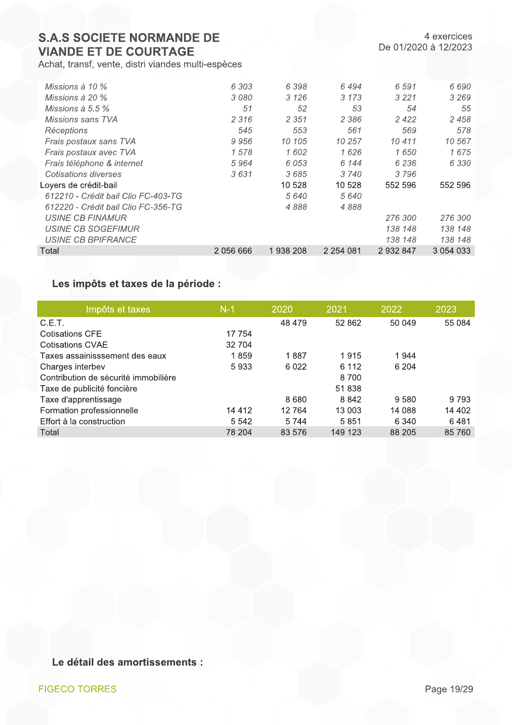Achat, transf, vente, distri viandes multi-espèces

| <i>Missions à 10 %</i>              | 6 303     | 6398     | 6 494         | 6 5 9 1 | 6 690       |
|-------------------------------------|-----------|----------|---------------|---------|-------------|
| <i>Missions à 20 %</i>              | 3080      | 3 1 2 6  | 3 1 7 3       | 3 2 2 1 | 3 2 6 9     |
| Missions à 5.5 $\%$                 | 51        | 52       | 53            | 54      | 55          |
| Missions sans TVA                   | 2 3 1 6   | 2 3 5 1  | 2 3 8 6       | 2422    | 2458        |
| Réceptions                          | 545       | 553      | 561           | 569     | 578         |
| Frais postaux sans TVA              | 9956      | 10 105   | 10 257        | 10 411  | 10 567      |
| Frais postaux avec TVA              | 1578      | 1602     | 1626          | 1650    | 1675        |
| Frais téléphone & internet          | 5964      | 6 0 5 3  | 6 144         | 6 2 3 6 | 6 3 3 0     |
| Cotisations diverses                | 3631      | 3685     | 3 740         | 3796    |             |
| Loyers de crédit-bail               |           | 10 528   | 10 528        | 552 596 | 552 596     |
| 612210 - Crédit bail Clio FC-403-TG |           | 5640     | 5 640         |         |             |
| 612220 - Crédit bail Clio FC-356-TG |           | 4888     | 4888          |         |             |
| USINE CB FINAMUR                    |           |          |               | 276 300 | 276 300     |
| USINE CB SOGEFIMUR                  |           |          |               | 138 148 | 138 148     |
| <b>USINE CB BPIFRANCE</b>           |           |          |               | 138 148 | 138 148     |
| Total                               | 2 056 666 | 1938 208 | 2 2 5 4 0 8 1 | 2932847 | 3 0 54 0 33 |
|                                     |           |          |               |         |             |

## Les impôts et taxes de la période :

| Impôts et taxes                      | $N-1$   | 2020    | 2021    | 2022    | 2023    |
|--------------------------------------|---------|---------|---------|---------|---------|
| C.E.T.                               |         | 48 479  | 52 862  | 50 049  | 55 084  |
| Cotisations CFE                      | 17 754  |         |         |         |         |
| Cotisations CVAE                     | 32 704  |         |         |         |         |
| Taxes assainisssement des eaux       | 1859    | 1887    | 1915    | 1944    |         |
| Charges interbev                     | 5933    | 6 0 2 2 | 6 1 1 2 | 6 204   |         |
| Contribution de sécurité immobilière |         |         | 8700    |         |         |
| Taxe de publicité foncière           |         |         | 51 838  |         |         |
| Taxe d'apprentissage                 |         | 8680    | 8842    | 9580    | 9 7 9 3 |
| Formation professionnelle            | 14 4 12 | 12 7 64 | 13 003  | 14 088  | 14 402  |
| Effort à la construction             | 5 5 4 2 | 5744    | 5851    | 6 3 4 0 | 6481    |
| Total                                | 78 204  | 83 576  | 149 123 | 88 205  | 85 760  |
|                                      |         |         |         |         |         |

Le détail des amortissements :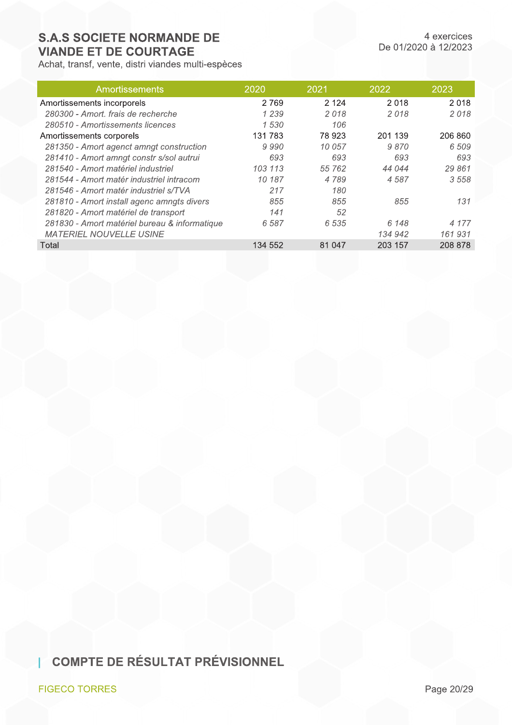Achat, transf, vente, distri viandes multi-espèces

| <b>Amortissements</b>                         | 2020    | 2021    | 2022    | 2023    |
|-----------------------------------------------|---------|---------|---------|---------|
| Amortissements incorporels                    | 2 7 6 9 | 2 1 2 4 | 2018    | 2018    |
| 280300 - Amort, frais de recherche            | 1 2 3 9 | 2018    | 2018    | 2018    |
| 280510 - Amortissements licences              | 1 530   | 106     |         |         |
| Amortissements corporels                      | 131 783 | 78 923  | 201 139 | 206 860 |
| 281350 - Amort agenct amngt construction      | 9990    | 10 057  | 9870    | 6 509   |
| 281410 - Amort amngt constr s/sol autrui      | 693     | 693     | 693     | 693     |
| 281540 - Amort matériel industriel            | 103 113 | 55 762  | 44 044  | 29 861  |
| 281544 - Amort matér industriel intracom      | 10 187  | 4789    | 4587    | 3558    |
| 281546 - Amort matér industriel s/TVA         | 217     | 180     |         |         |
| 281810 - Amort install agenc amngts divers    | 855     | 855     | 855     | 131     |
| 281820 - Amort matériel de transport          | 141     | 52      |         |         |
| 281830 - Amort matériel bureau & informatique | 6 5 8 7 | 6 5 3 5 | 6 148   | 4 177   |
| <b>MATERIEL NOUVELLE USINE</b>                |         |         | 134 942 | 161931  |
| Total                                         | 134 552 | 81 047  | 203 157 | 208 878 |

**COMPTE DE RÉSULTAT PRÉVISIONNEL** 

**FIGECO TORRES**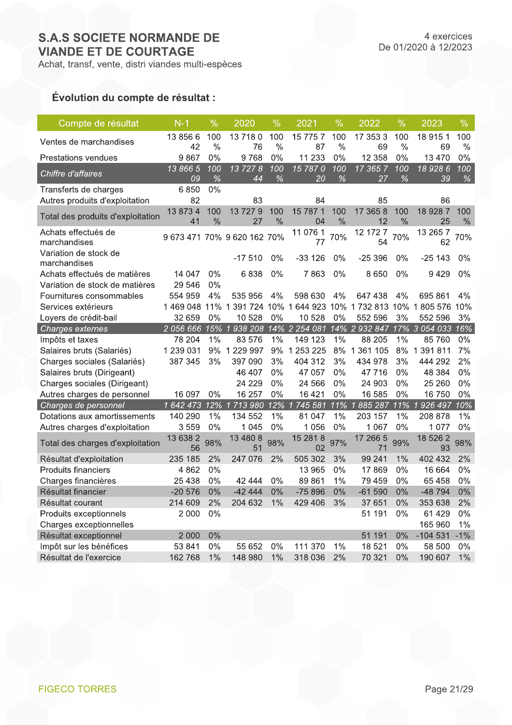## De 01/2020 à 12/2023

4 exercices

## Évolution du compte de résultat :

| Compte de résultat                                             | $N-1$            | $\frac{0}{0}$        | 2020                        | $\frac{0}{6}$        | 2021                                                              | $\frac{0}{0}$        | 2022           | $\frac{0}{0}$        | 2023                                | $\frac{0}{0}$        |
|----------------------------------------------------------------|------------------|----------------------|-----------------------------|----------------------|-------------------------------------------------------------------|----------------------|----------------|----------------------|-------------------------------------|----------------------|
| Ventes de marchandises                                         | 13 856 6<br>42   | 100<br>$\frac{0}{0}$ | 137180<br>76                | 100<br>$\frac{0}{0}$ | 15 775 7<br>87                                                    | 100<br>$\frac{0}{0}$ | 17 353 3<br>69 | 100<br>$\frac{0}{0}$ | 18 915 1<br>69                      | 100<br>$\frac{0}{0}$ |
| <b>Prestations vendues</b>                                     | 9867             | 0%                   | 9768                        | 0%                   | 11 233                                                            | 0%                   | 12 358         | 0%                   | 13 4 70                             | 0%                   |
| Chiffre d'affaires                                             | 13 866 5<br>09   | 100<br>%             | 137278<br>44                | 100<br>%             | 15 7870<br>20                                                     | 100<br>%             | 17 365 7<br>27 | 100<br>$\%$          | 18 928 6<br>39                      | 100<br>$\%$          |
| Transferts de charges<br>Autres produits d'exploitation        | 6850<br>82       | 0%                   | 83                          |                      | 84                                                                |                      | 85             |                      | 86                                  |                      |
| Total des produits d'exploitation                              | 13 873 4<br>41   | 100<br>$\frac{0}{0}$ | 13 727 9<br>27              | 100<br>$\frac{0}{0}$ | 15 787 1<br>04                                                    | 100<br>$\frac{0}{0}$ | 17 365 8<br>12 | 100<br>$\frac{0}{0}$ | 18 928 7<br>25                      | 100<br>$\%$          |
| Achats effectués de<br>marchandises                            |                  |                      | 9 673 471 70% 9 620 162 70% |                      | 11 076 1<br>77                                                    | 70%                  | 12 172 7<br>54 | 70%                  | 13 265 7<br>62                      | 70%                  |
| Variation de stock de<br>marchandises                          |                  |                      | $-17510$                    | 0%                   | $-33126$                                                          | 0%                   | $-25396$       | 0%                   | -25 143                             | 0%                   |
| Achats effectués de matières<br>Variation de stock de matières | 14 047<br>29 546 | 0%<br>0%             | 6838                        | $0\%$                | 7863                                                              | 0%                   | 8650           | 0%                   | 9429                                | 0%                   |
| Fournitures consommables                                       | 554 959          | 4%                   | 535 956                     | 4%                   | 598 630                                                           | 4%                   | 647 438        | 4%                   | 695 861                             | 4%                   |
| Services extérieurs                                            |                  |                      |                             |                      | 1 469 048 11% 1 391 724 10% 1 644 923 10% 1 732 813 10% 1 805 576 |                      |                |                      |                                     | 10%                  |
| Loyers de crédit-bail                                          | 32 659           | 0%                   | 10 528                      | 0%                   | 10 528                                                            | 0%                   | 552 596        | 3%                   | 552 596                             | 3%                   |
| Charges externes                                               | 2 056 666        |                      |                             |                      | 15% 1 938 208 14% 2 254 081 14% 2 932 847 17% 3 054 033           |                      |                |                      |                                     | 16%                  |
| Impôts et taxes                                                | 78 204           | 1%                   | 83 576                      | 1%                   | 149 123                                                           | 1%                   | 88 205         | 1%                   | 85 760                              | 0%                   |
| Salaires bruts (Salariés)                                      | 1 239 031        |                      | 9% 1 229 997                | 9%                   | 1 253 225                                                         | 8%                   | 1 361 105      | 8%                   | 1 391 811                           | 7%                   |
| Charges sociales (Salariés)                                    | 387 345          | 3%                   | 397 090                     | 3%                   | 404 312                                                           | 3%                   | 434 978        | 3%                   | 444 292                             | 2%                   |
| Salaires bruts (Dirigeant)                                     |                  |                      | 46 407                      | 0%                   | 47 057                                                            | $0\%$                | 47 716         | 0%                   | 48 384                              | 0%                   |
| Charges sociales (Dirigeant)                                   |                  |                      | 24 2 2 9                    | $0\%$                | 24 5 66                                                           | $0\%$                | 24 903         | 0%                   | 25 260                              | 0%                   |
| Autres charges de personnel                                    | 16 097           | 0%                   | 16 257                      | 0%                   | 16 4 21                                                           | 0%                   | 16 585         | 0%                   | 16 750                              | 0%                   |
| Charges de personnel                                           | 1 642 473        |                      | 12% 1713 980                |                      | 12% 1745 581                                                      | 11% 1                | 885 287        | 11%                  | 926 497<br>$\overline{\mathcal{L}}$ | 10%                  |
| Dotations aux amortissements                                   | 140 290          | 1%                   | 134 552                     | 1%                   | 81 047                                                            | 1%                   | 203 157        | 1%                   | 208 878                             | 1%                   |
| Autres charges d'exploitation                                  | 3559             | 0%                   | 1 0 4 5                     | 0%                   | 1 0 5 6                                                           | 0%                   | 1 0 6 7        | 0%                   | 1 0 7 7                             | 0%                   |
| Total des charges d'exploitation                               | 13 638 2<br>56   | 98%                  | 13 480 8<br>51              | 98%                  | 15 28 1 8<br>02                                                   | 97%                  | 17 266 5<br>71 | 99%                  | 18 526 2<br>93                      | 98%                  |
| Résultat d'exploitation                                        | 235 185          | 2%                   | 247 076                     | 2%                   | 505 302                                                           | 3%                   | 99 241         | 1%                   | 402 432                             | 2%                   |
| <b>Produits financiers</b>                                     | 4 8 6 2          | 0%                   |                             |                      | 13 965                                                            | 0%                   | 17869          | 0%                   | 16 664                              | 0%                   |
| Charges financières                                            | 25 4 38          | 0%                   | 42 444                      | 0%                   | 89 861                                                            | 1%                   | 79 459         | 0%                   | 65 458                              | 0%                   |
| Résultat financier                                             | $-20576$         | 0%                   | $-4244$                     | 0%                   | $-75896$                                                          | 0%                   | $-61590$       | 0%                   | -48 794                             | 0%                   |
| Résultat courant                                               | 214 609          | 2%                   | 204 632                     | 1%                   | 429 406                                                           | 3%                   | 37 651         | 0%                   | 353 638                             | 2%                   |
| Produits exceptionnels                                         | 2 000            | 0%                   |                             |                      |                                                                   |                      | 51 191         | 0%                   | 61 4 29                             | 0%                   |
| Charges exceptionnelles                                        |                  |                      |                             |                      |                                                                   |                      |                |                      | 165 960                             | 1%                   |
| Résultat exceptionnel                                          | 2 0 0 0          | 0%                   |                             |                      |                                                                   |                      | 51 191         | 0%                   | $-104531$                           | $-1%$                |
| Impôt sur les bénéfices                                        | 53 841           | 0%                   | 55 652                      | 0%                   | 111 370                                                           | 1%                   | 18 521         | 0%                   | 58 500                              | 0%                   |
| Résultat de l'exercice                                         | 162768           | 1%                   | 148 980                     | 1%                   | 318 036                                                           | 2%                   | 70 321         | 0%                   | 190 607                             | 1%                   |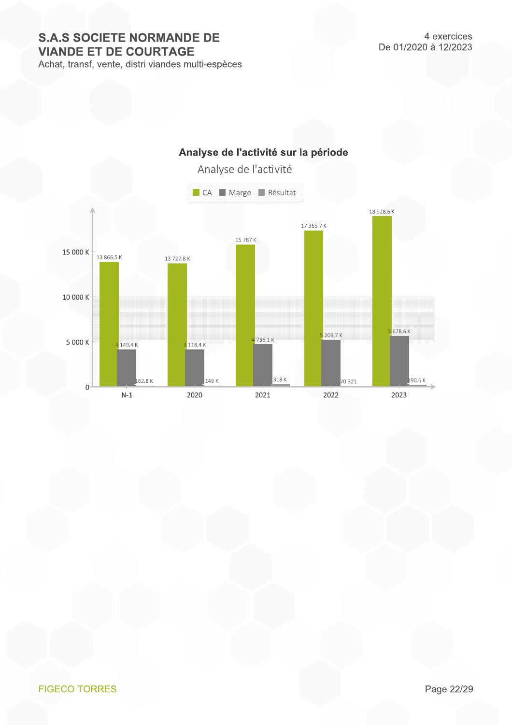Achat, transf, vente, distri viandes multi-espèces



#### **FIGECO TORRES**

Page 22/29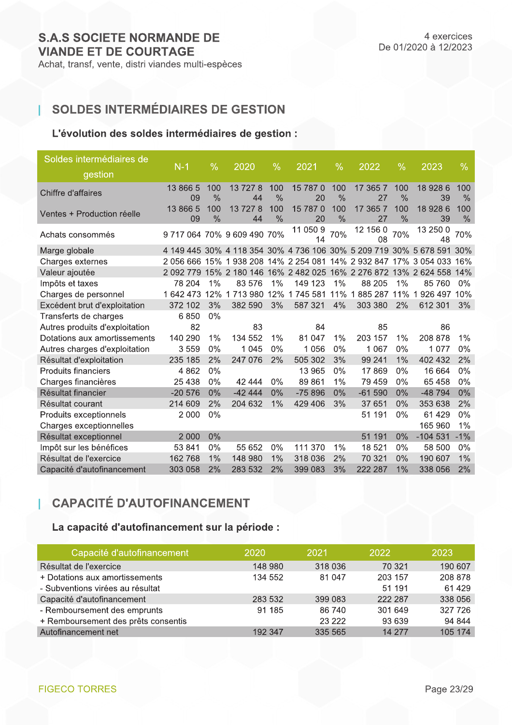т

## SOLDES INTERMÉDIAIRES DE GESTION

## L'évolution des soldes intermédiaires de gestion :

| Soldes intermédiaires de       | $N-1$          | $\%$                 | 2020                 | $\%$                 | 2021                                                              | $\%$                 | 2022           | $\%$        | 2023           | $\%$        |
|--------------------------------|----------------|----------------------|----------------------|----------------------|-------------------------------------------------------------------|----------------------|----------------|-------------|----------------|-------------|
| gestion                        |                |                      |                      |                      |                                                                   |                      |                |             |                |             |
| Chiffre d'affaires             | 13 866 5<br>09 | 100<br>$\frac{0}{0}$ | 13 727 8<br>44       | 100<br>$\frac{0}{0}$ | 15 787 0<br>20                                                    | 100<br>$\frac{0}{0}$ | 17 365 7<br>27 | 100<br>$\%$ | 18 928 6<br>39 | 100<br>$\%$ |
| Ventes + Production réelle     | 13 866 5<br>09 | 100<br>$\frac{0}{0}$ | 13 727 8<br>44       | 100<br>$\frac{0}{0}$ | 15 787 0<br>20                                                    | 100<br>$\frac{0}{0}$ | 17 365 7<br>27 | 100<br>$\%$ | 18 928 6<br>39 | 100<br>$\%$ |
| Achats consommés               |                |                      | 971706470%960949070% |                      | 11 050 9<br>14                                                    | 70%                  | 12 156 0<br>08 | 70%         | 13 250 0<br>48 | 70%         |
| Marge globale                  |                |                      |                      |                      | 4 149 445 30% 4 118 354 30% 4 736 106 30% 5 209 719 30% 5 678 591 |                      |                |             |                | 30%         |
| Charges externes               |                |                      |                      |                      | 2 056 666 15% 1 938 208 14% 2 254 081                             |                      | 14% 2 932 847  |             | 17% 3 054 033  | 16%         |
| Valeur ajoutée                 | 2 0 9 2 7 7 9  |                      |                      |                      | 15% 2 180 146 16% 2 482 025 16% 2 276 872 13% 2 624 558           |                      |                |             |                | 14%         |
| Impôts et taxes                | 78 204         | 1%                   | 83 576               | 1%                   | 149 123                                                           | 1%                   | 88 205         | $1\%$       | 85 760         | $0\%$       |
| Charges de personnel           | 1642473        | 12%                  | 1713980              |                      | 12% 1745 581                                                      | 11%                  | 1885 287 11%   |             | 1926497        | 10%         |
| Excédent brut d'exploitation   | 372 102        | 3%                   | 382 590              | 3%                   | 587 321                                                           | 4%                   | 303 380        | 2%          | 612 301        | 3%          |
| Transferts de charges          | 6850           | 0%                   |                      |                      |                                                                   |                      |                |             |                |             |
| Autres produits d'exploitation | 82             |                      | 83                   |                      | 84                                                                |                      | 85             |             | 86             |             |
| Dotations aux amortissements   | 140 290        | 1%                   | 134 552              | 1%                   | 81 047                                                            | 1%                   | 203 157        | 1%          | 208 878        | $1\%$       |
| Autres charges d'exploitation  | 3559           | 0%                   | 1 0 4 5              | $0\%$                | 1 0 5 6                                                           | $0\%$                | 1 0 6 7        | $0\%$       | 1 0 7 7        | $0\%$       |
| Résultat d'exploitation        | 235 185        | 2%                   | 247 076              | 2%                   | 505 302                                                           | 3%                   | 99 241         | 1%          | 402 432        | 2%          |
| <b>Produits financiers</b>     | 4 8 6 2        | 0%                   |                      |                      | 13 965                                                            | 0%                   | 17869          | $0\%$       | 16 664         | 0%          |
| Charges financières            | 25 4 38        | 0%                   | 42 444               | 0%                   | 89 861                                                            | 1%                   | 79 459         | 0%          | 65 4 58        | 0%          |
| Résultat financier             | $-20576$       | 0%                   | $-4244$              | 0%                   | $-75896$                                                          | 0%                   | $-61590$       | 0%          | -48 794        | 0%          |
| Résultat courant               | 214 609        | 2%                   | 204 632              | 1%                   | 429 406                                                           | 3%                   | 37 651         | 0%          | 353 638        | 2%          |
| Produits exceptionnels         | 2 0 0 0        | 0%                   |                      |                      |                                                                   |                      | 51 191         | 0%          | 61 4 29        | 0%          |
| Charges exceptionnelles        |                |                      |                      |                      |                                                                   |                      |                |             | 165 960        | 1%          |
| Résultat exceptionnel          | 2 0 0 0        | 0%                   |                      |                      |                                                                   |                      | 51 191         | 0%          | $-104531$      | $-1%$       |
| Impôt sur les bénéfices        | 53 841         | 0%                   | 55 652               | 0%                   | 111 370                                                           | 1%                   | 18 521         | 0%          | 58 500         | 0%          |
| Résultat de l'exercice         | 162 768        | 1%                   | 148 980              | 1%                   | 318 036                                                           | 2%                   | 70 321         | 0%          | 190 607        | 1%          |
| Capacité d'autofinancement     | 303 058        | 2%                   | 283 532              | 2%                   | 399 083                                                           | 3%                   | 222 287        | 1%          | 338 056        | 2%          |
|                                |                |                      |                      |                      |                                                                   |                      |                |             |                |             |

## **CAPACITÉ D'AUTOFINANCEMENT**

## La capacité d'autofinancement sur la période :

| Capacité d'autofinancement          | 2020    | 2021    | 2022    | 2023    |
|-------------------------------------|---------|---------|---------|---------|
| Résultat de l'exercice              | 148 980 | 318 036 | 70 321  | 190 607 |
| + Dotations aux amortissements      | 134 552 | 81 047  | 203 157 | 208 878 |
| - Subventions virées au résultat    |         |         | 51 191  | 61 4 29 |
| Capacité d'autofinancement          | 283 532 | 399 083 | 222 287 | 338 056 |
| - Remboursement des emprunts        | 91 185  | 86 740  | 301 649 | 327 726 |
| + Remboursement des prêts consentis |         | 23 2 22 | 93 639  | 94 844  |
| Autofinancement net                 | 192 347 | 335 565 | 14 277  | 105 174 |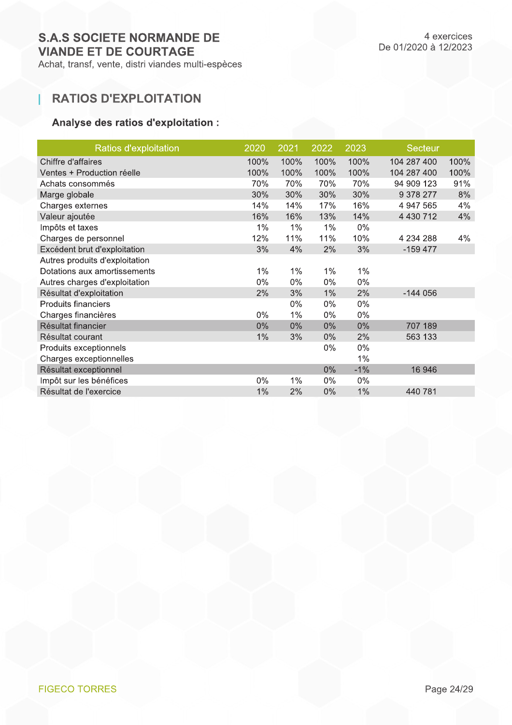## **RATIOS D'EXPLOITATION**

1

## Analyse des ratios d'exploitation :

| Ratios d'exploitation          | 2020  | 2021  | 2022  | 2023  | <b>Secteur</b> |      |
|--------------------------------|-------|-------|-------|-------|----------------|------|
| Chiffre d'affaires             | 100%  | 100%  | 100%  | 100%  | 104 287 400    | 100% |
| Ventes + Production réelle     | 100%  | 100%  | 100%  | 100%  | 104 287 400    | 100% |
| Achats consommés               | 70%   | 70%   | 70%   | 70%   | 94 909 123     | 91%  |
| Marge globale                  | 30%   | 30%   | 30%   | 30%   | 9 378 277      | 8%   |
| Charges externes               | 14%   | 14%   | 17%   | 16%   | 4 947 565      | 4%   |
| Valeur ajoutée                 | 16%   | 16%   | 13%   | 14%   | 4 4 3 0 7 1 2  | 4%   |
| Impôts et taxes                | 1%    | $1\%$ | 1%    | $0\%$ |                |      |
| Charges de personnel           | 12%   | 11%   | 11%   | 10%   | 4 234 288      | 4%   |
| Excédent brut d'exploitation   | 3%    | 4%    | 2%    | 3%    | $-159477$      |      |
| Autres produits d'exploitation |       |       |       |       |                |      |
| Dotations aux amortissements   | 1%    | $1\%$ | $1\%$ | $1\%$ |                |      |
| Autres charges d'exploitation  | $0\%$ | $0\%$ | $0\%$ | $0\%$ |                |      |
| Résultat d'exploitation        | 2%    | 3%    | $1\%$ | 2%    | $-144056$      |      |
| <b>Produits financiers</b>     |       | $0\%$ | $0\%$ | $0\%$ |                |      |
| Charges financières            | $0\%$ | 1%    | $0\%$ | $0\%$ |                |      |
| Résultat financier             | 0%    | $0\%$ | $0\%$ | 0%    | 707 189        |      |
| Résultat courant               | 1%    | 3%    | $0\%$ | 2%    | 563 133        |      |
| Produits exceptionnels         |       |       | $0\%$ | $0\%$ |                |      |
| Charges exceptionnelles        |       |       |       | 1%    |                |      |
| Résultat exceptionnel          |       |       | $0\%$ | $-1%$ | 16 946         |      |
| Impôt sur les bénéfices        | $0\%$ | $1\%$ | $0\%$ | $0\%$ |                |      |
| Résultat de l'exercice         | 1%    | 2%    | $0\%$ | 1%    | 440 781        |      |
|                                |       |       |       |       |                |      |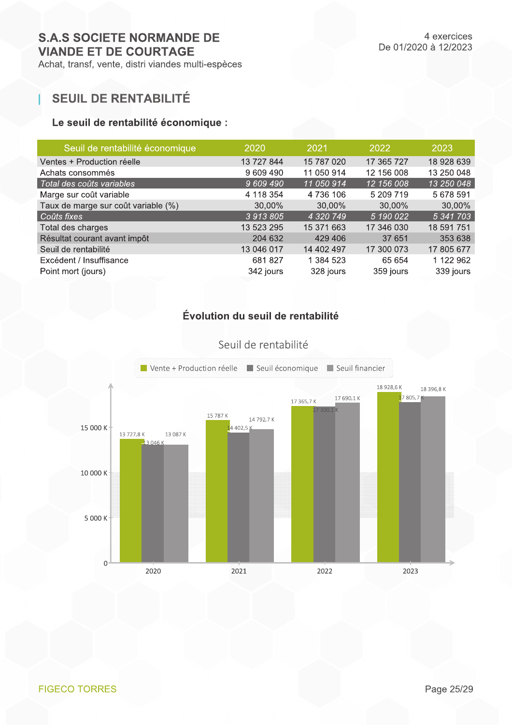Achat, transf, vente, distri viandes multi-espèces

## **SEUIL DE RENTABILITÉ**

## Le seuil de rentabilité économique :

| Seuil de rentabilité économique     | 2020       | 2021       | 2022       | 2023       |
|-------------------------------------|------------|------------|------------|------------|
| Ventes + Production réelle          | 13 727 844 | 15 787 020 | 17 365 727 | 18 928 639 |
| Achats consommés                    | 9 609 490  | 11 050 914 | 12 156 008 | 13 250 048 |
| Total des coûts variables           | 9 609 490  | 11 050 914 | 12 156 008 | 13 250 048 |
| Marge sur coût variable             | 4 118 354  | 4 736 106  | 5 209 719  | 5 678 591  |
| Taux de marge sur coût variable (%) | 30,00%     | 30,00%     | 30,00%     | 30,00%     |
| Coûts fixes                         | 3 913 805  | 4 320 749  | 5 190 022  | 5 341 703  |
| Total des charges                   | 13 523 295 | 15 371 663 | 17 346 030 | 18 591 751 |
| Résultat courant avant impôt        | 204 632    | 429 406    | 37 651     | 353 638    |
| Seuil de rentabilité                | 13 046 017 | 14 402 497 | 17 300 073 | 17 805 677 |
| Excédent / Insuffisance             | 681827     | 1 384 523  | 65 654     | 1 122 962  |
| Point mort (jours)                  | 342 jours  | 328 jours  | 359 jours  | 339 jours  |

## Évolution du seuil de rentabilité



Seuil de rentabilité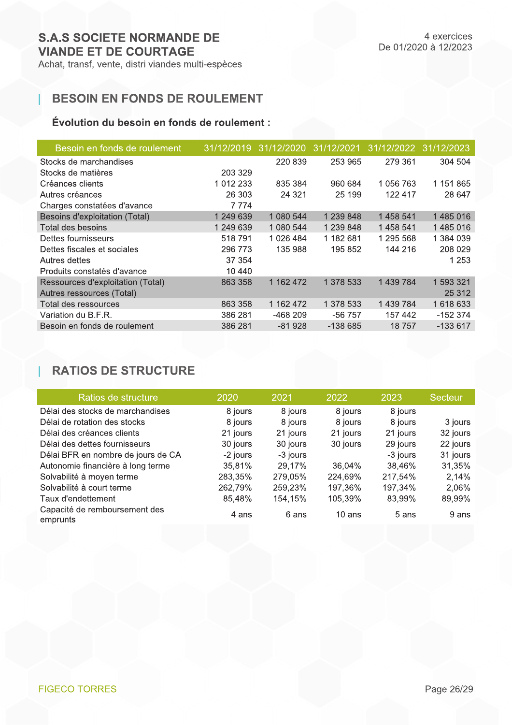1

Achat, transf, vente, distri viandes multi-espèces

## **BESOIN EN FONDS DE ROULEMENT**

## Évolution du besoin en fonds de roulement :

| Besoin en fonds de roulement      | 31/12/2019 | 31/12/2020 | 31/12/2021 | 31/12/2022 | 31/12/2023 |
|-----------------------------------|------------|------------|------------|------------|------------|
| Stocks de marchandises            |            | 220 839    | 253 965    | 279 361    | 304 504    |
| Stocks de matières                | 203 329    |            |            |            |            |
| Créances clients                  | 1 012 233  | 835 384    | 960 684    | 1 056 763  | 1 151 865  |
| Autres créances                   | 26 303     | 24 3 21    | 25 199     | 122 417    | 28 647     |
| Charges constatées d'avance       | 7774       |            |            |            |            |
| Besoins d'exploitation (Total)    | 1 249 639  | 1 080 544  | 1 239 848  | 1458541    | 1485016    |
| Total des besoins                 | 1 249 639  | 1 080 544  | 1 239 848  | 1458541    | 1485016    |
| Dettes fournisseurs               | 518791     | 1 026 484  | 1 182 681  | 1 295 568  | 1 384 039  |
| Dettes fiscales et sociales       | 296 773    | 135 988    | 195 852    | 144 216    | 208 029    |
| Autres dettes                     | 37 354     |            |            |            | 1 2 5 3    |
| Produits constatés d'avance       | 10 440     |            |            |            |            |
| Ressources d'exploitation (Total) | 863 358    | 1 162 472  | 1 378 533  | 1 439 784  | 1 593 321  |
| Autres ressources (Total)         |            |            |            |            | 25 312     |
| Total des ressources              | 863 358    | 1 162 472  | 1 378 533  | 1 439 784  | 1 618 633  |
| Variation du B.F.R.               | 386 281    | -468 209   | $-56757$   | 157 442    | $-152374$  |
| Besoin en fonds de roulement      | 386 281    | $-81928$   | $-138665$  | 18757      | $-133617$  |

## **RATIOS DE STRUCTURE**

| Ratios de structure                       | 2020     | 2021     | 2022     | 2023     | Secteur  |
|-------------------------------------------|----------|----------|----------|----------|----------|
| Délai des stocks de marchandises          | 8 jours  | 8 jours  | 8 jours  | 8 jours  |          |
| Délai de rotation des stocks              | 8 jours  | 8 jours  | 8 jours  | 8 jours  | 3 jours  |
| Délai des créances clients                | 21 jours | 21 jours | 21 jours | 21 jours | 32 jours |
| Délai des dettes fournisseurs             | 30 jours | 30 jours | 30 jours | 29 jours | 22 jours |
| Délai BFR en nombre de jours de CA        | -2 jours | -3 jours |          | -3 jours | 31 jours |
| Autonomie financière à long terme         | 35,81%   | 29,17%   | 36.04%   | 38,46%   | 31,35%   |
| Solvabilité à moyen terme                 | 283,35%  | 279,05%  | 224,69%  | 217,54%  | 2,14%    |
| Solvabilité à court terme                 | 262,79%  | 259,23%  | 197,36%  | 197,34%  | 2,06%    |
| Taux d'endettement                        | 85,48%   | 154,15%  | 105,39%  | 83,99%   | 89,99%   |
| Capacité de remboursement des<br>emprunts | 4 ans    | 6 ans    | $10$ ans | 5 ans    | 9 ans    |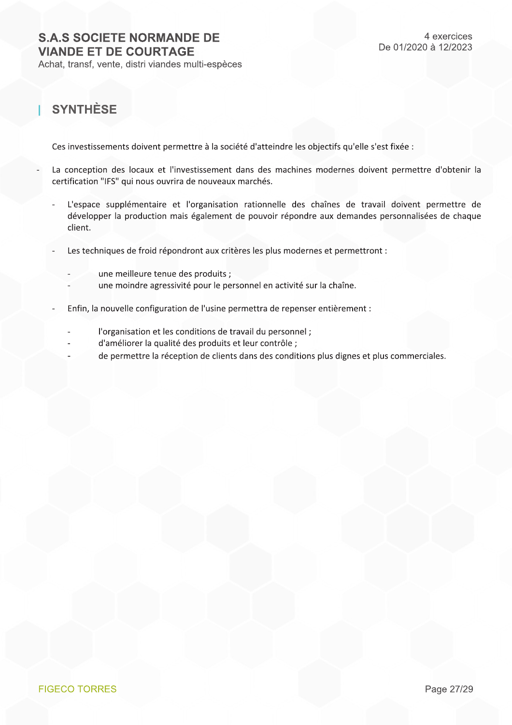Achat, transf, vente, distri viandes multi-espèces

## **SYNTHÈSE**

Ces investissements doivent permettre à la société d'atteindre les objectifs qu'elle s'est fixée :

- La conception des locaux et l'investissement dans des machines modernes doivent permettre d'obtenir la certification "IFS" qui nous ouvrira de nouveaux marchés.
	- L'espace supplémentaire et l'organisation rationnelle des chaînes de travail doivent permettre de développer la production mais également de pouvoir répondre aux demandes personnalisées de chaque client.
	- Les techniques de froid répondront aux critères les plus modernes et permettront :
		- une meilleure tenue des produits ;
		- une moindre agressivité pour le personnel en activité sur la chaîne.
	- Enfin, la nouvelle configuration de l'usine permettra de repenser entièrement :
		- l'organisation et les conditions de travail du personnel ;
		- d'améliorer la qualité des produits et leur contrôle ;
		- de permettre la réception de clients dans des conditions plus dignes et plus commerciales.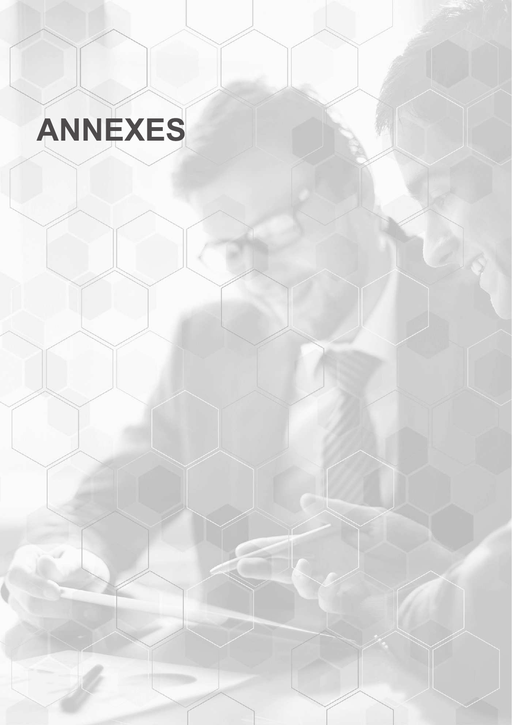# ANNEXES